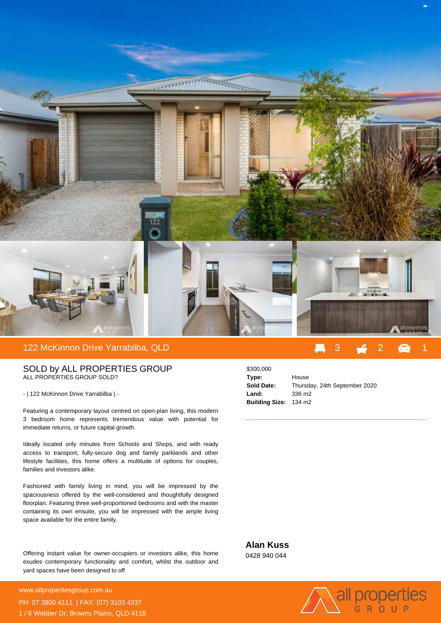

## SOLD by ALL PROPERTIES GROUP ALL PROPERTIES GROUP SOLD?

- | 122 McKinnon Drive Yarrabilba | -

Featuring a contemporary layout centred on open-plan living, this modern 3 bedroom home represents tremendous value with potential for immediate returns, or future capital growth.

Ideally located only minutes from Schools and Shops, and with ready access to transport, fully-secure dog and family parklands and other lifestyle facilities, this home offers a multitude of options for couples, families and investors alike.

Fashioned with family living in mind, you will be impressed by the spaciousness offered by the well-considered and thoughtfully designed floorplan. Featuring three well-proportioned bedrooms and with the master containing its own ensuite, you will be impressed with the ample living space available for the entire family.

Offering instant value for owner-occupiers or investors alike, this home exudes contemporary functionality and comfort, whilst the outdoor and yard spaces have been designed to off

**For more details please visit** www.allpropertiesgroup.com.au/5650770707077070707<br>www.allpropertiesgroup.com.au PH: 07 3800 4111 | FAX: (07) 3103 4337 1 / 6 Webber Dr, Browns Plains, QLD 4118



**Alan Kuss** 0428 940 044